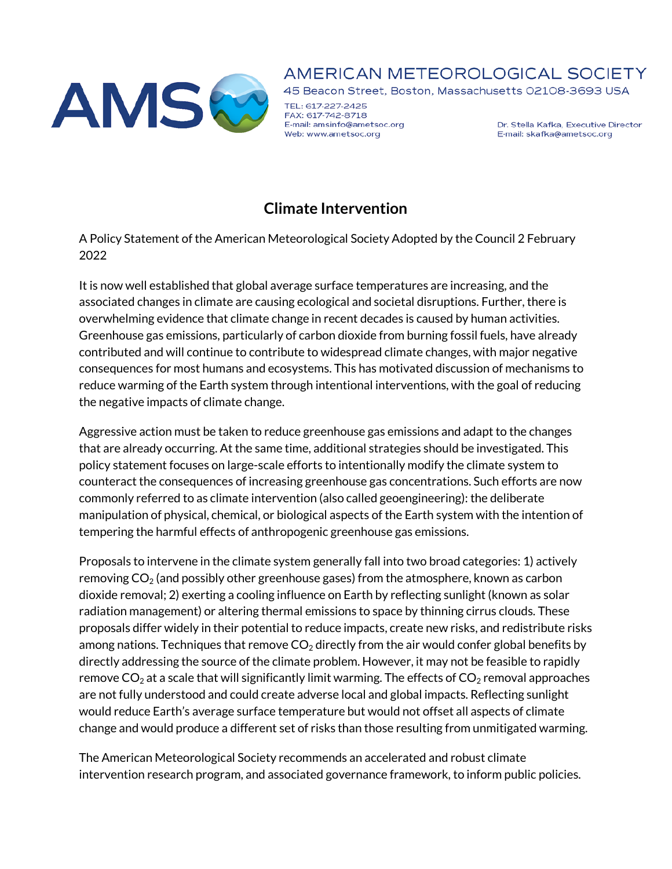

## AMERICAN METEOROLOGICAL SOCIETY

45 Beacon Street, Boston, Massachusetts 02108-3693 USA

TEL: 617-227-2425 FAX: 617-742-8718 E-mail: amsinfo@ametsoc.org Web: www.ametsoc.org

Dr. Stella Kafka, Executive Director E-mail: skafka@ametsoc.org

## **Climate Intervention**

A Policy Statement of the American Meteorological Society Adopted by the Council 2 February 2022

It is now well established that global average surface temperatures are increasing, and the associated changes in climate are causing ecological and societal disruptions. Further, there is overwhelming evidence that climate change in recent decades is caused by human activities. Greenhouse gas emissions, particularly of carbon dioxide from burning fossil fuels, have already contributed and will continue to contribute to widespread climate changes, with major negative consequences for most humans and ecosystems. This has motivated discussion of mechanisms to reduce warming of the Earth system through intentional interventions, with the goal of reducing the negative impacts of climate change.

Aggressive action must be taken to reduce greenhouse gas emissions and adapt to the changes that are already occurring. At the same time, additional strategies should be investigated. This policy statement focuses on large-scale efforts to intentionally modify the climate system to counteract the consequences of increasing greenhouse gas concentrations. Such efforts are now commonly referred to as climate intervention (also called geoengineering): the deliberate manipulation of physical, chemical, or biological aspects of the Earth system with the intention of tempering the harmful effects of anthropogenic greenhouse gas emissions.

Proposals to intervene in the climate system generally fall into two broad categories: 1) actively removing  $CO<sub>2</sub>$  (and possibly other greenhouse gases) from the atmosphere, known as carbon dioxide removal; 2) exerting a cooling influence on Earth by reflecting sunlight (known as solar radiation management) or altering thermal emissions to space by thinning cirrus clouds. These proposals differ widely in their potential to reduce impacts, create new risks, and redistribute risks among nations. Techniques that remove  $CO<sub>2</sub>$  directly from the air would confer global benefits by directly addressing the source of the climate problem. However, it may not be feasible to rapidly remove  $CO<sub>2</sub>$  at a scale that will significantly limit warming. The effects of  $CO<sub>2</sub>$  removal approaches are not fully understood and could create adverse local and global impacts. Reflecting sunlight would reduce Earth's average surface temperature but would not offset all aspects of climate change and would produce a different set of risks than those resulting from unmitigated warming.

The American Meteorological Society recommends an accelerated and robust climate intervention research program, and associated governance framework, to inform public policies.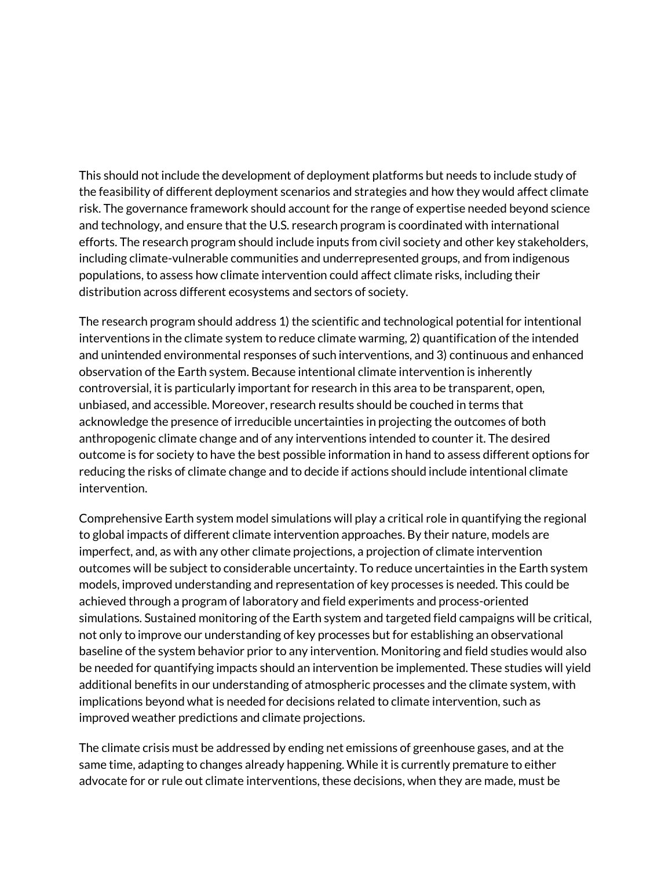This should not include the development of deployment platforms but needs to include study of the feasibility of different deployment scenarios and strategies and how they would affect climate risk. The governance framework should account for the range of expertise needed beyond science and technology, and ensure that the U.S. research program is coordinated with international efforts. The research program should include inputs from civil society and other key stakeholders, including climate-vulnerable communities and underrepresented groups, and from indigenous populations, to assess how climate intervention could affect climate risks, including their distribution across different ecosystems and sectors of society.

The research program should address 1) the scientific and technological potential for intentional interventions in the climate system to reduce climate warming, 2) quantification of the intended and unintended environmental responses of such interventions, and 3) continuous and enhanced observation of the Earth system. Because intentional climate intervention is inherently controversial, it is particularly important for research in this area to be transparent, open, unbiased, and accessible. Moreover, research results should be couched in terms that acknowledge the presence of irreducible uncertainties in projecting the outcomes of both anthropogenic climate change and of any interventions intended to counter it. The desired outcome is for society to have the best possible information in hand to assess different options for reducing the risks of climate change and to decide if actions should include intentional climate intervention.

Comprehensive Earth system model simulations will play a critical role in quantifying the regional to global impacts of different climate intervention approaches. By their nature, models are imperfect, and, as with any other climate projections, a projection of climate intervention outcomes will be subject to considerable uncertainty. To reduce uncertainties in the Earth system models, improved understanding and representation of key processes is needed. This could be achieved through a program of laboratory and field experiments and process-oriented simulations. Sustained monitoring of the Earth system and targeted field campaigns will be critical, not only to improve our understanding of key processes but for establishing an observational baseline of the system behavior prior to any intervention. Monitoring and field studies would also be needed for quantifying impacts should an intervention be implemented. These studies will yield additional benefits in our understanding of atmospheric processes and the climate system, with implications beyond what is needed for decisions related to climate intervention, such as improved weather predictions and climate projections.

The climate crisis must be addressed by ending net emissions of greenhouse gases, and at the same time, adapting to changes already happening. While it is currently premature to either advocate for or rule out climate interventions, these decisions, when they are made, must be